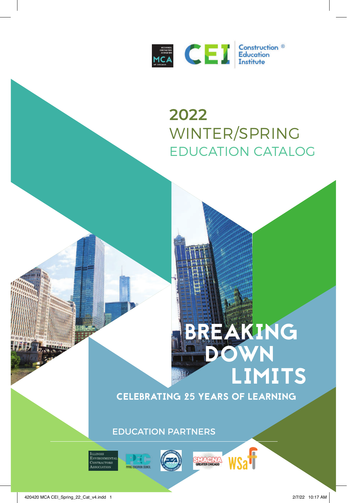

# **2022** WINTER/SPRING EDUCATION CATALOG

# BREAKING **DOWN** LIMITS

CELEBRATING 25 YEARS OF LEARNING

EDUCATION PARTNERS







f **TYPE CHICAGO**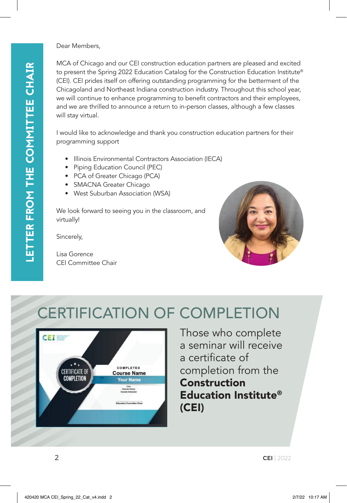Dear Members,

MCA of Chicago and our CEI construction education partners are pleased and excited to present the Spring 2022 Education Catalog for the Construction Education Institute® (CEI). CEI prides itself on offering outstanding programming for the betterment of the Chicagoland and Northeast Indiana construction industry. Throughout this school year, we will continue to enhance programming to benefit contractors and their employees, and we are thrilled to announce a return to in-person classes, although a few classes will stay virtual.

I would like to acknowledge and thank you construction education partners for their programming support

- Illinois Environmental Contractors Association (IECA)
- Piping Education Council (PEC)
- PCA of Greater Chicago (PCA)
- SMACNA Greater Chicago
- West Suburban Association (WSA)

We look forward to seeing you in the classroom, and virtually!

Sincerely,

LETTER FROM THE COMMITTEE CHAIR

LETTER FROM THE COMMITTEE CHAIR

Lisa Gorence CEI Committee Chair



# CERTIFICATION OF COMPLETION



Those who complete a seminar will receive a certificate of completion from the Construction Education Institute® (CEI)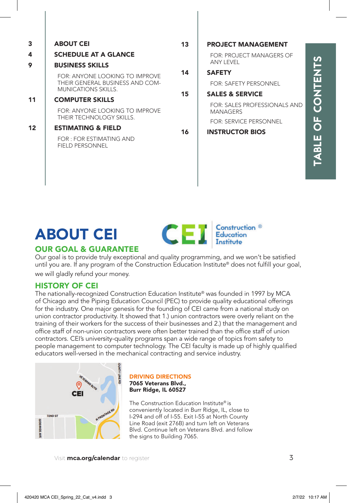| $\overline{\mathbf{3}}$                     | <b>ABOUT CEI</b>                                                                     | 13 <sup>1</sup> | <b>PROJECT MANAGEMENT</b>                |
|---------------------------------------------|--------------------------------------------------------------------------------------|-----------------|------------------------------------------|
| 4                                           | <b>SCHEDULE AT A GLANCE</b>                                                          |                 | FOR: PROJECT MANAGERS OF                 |
| 9                                           | <b>BUSINESS SKILLS</b>                                                               |                 | ANY LEVEL                                |
|                                             | FOR: ANYONE LOOKING TO IMPROVE<br>THEIR GENERAL BUSINESS AND COM-                    | 14              | <b>SAFETY</b>                            |
|                                             |                                                                                      |                 | <b>FOR: SAFETY PERSONNEL</b>             |
|                                             | MUNICATIONS SKILLS.                                                                  | 15              | <b>SALES &amp; SERVICE</b>               |
| 11                                          | <b>COMPUTER SKILLS</b><br>FOR: ANYONE LOOKING TO IMPROVE<br>THEIR TECHNOLOGY SKILLS. |                 | FOR: SALES PROFESSIONALS AND<br>MANAGERS |
|                                             |                                                                                      |                 |                                          |
|                                             |                                                                                      | $12 \,$         | <b>ESTIMATING &amp; FIELD</b>            |
| FOR : FOR ESTIMATING AND<br>FIELD PERSONNEL |                                                                                      |                 |                                          |
|                                             |                                                                                      |                 |                                          |
|                                             |                                                                                      |                 |                                          |

# ABOUT CEI



#### OUR GOAL & GUARANTEE

Our goal is to provide truly exceptional and quality programming, and we won't be satisfied until you are. If any program of the Construction Education Institute® does not fulfill your goal, we will gladly refund your money.

#### HISTORY OF CEI

The nationally-recognized Construction Education Institute® was founded in 1997 by MCA of Chicago and the Piping Education Council (PEC) to provide quality educational offerings for the industry. One major genesis for the founding of CEI came from a national study on union contractor productivity. It showed that 1.) union contractors were overly reliant on the training of their workers for the success of their businesses and 2.) that the management and office staff of non-union contractors were often better trained than the office staff of union contractors. CEI's university-quality programs span a wide range of topics from safety to people management to computer technology. The CEI faculty is made up of highly qualified educators well-versed in the mechanical contracting and service industry.



DRIVING DIRECTIONS 7065 Veterans Blvd., Burr Ridge, IL 60527

The Construction Education Institute® is conveniently located in Burr Ridge, IL, close to I-294 and off of I-55. Exit I-55 at North County Line Road (exit 276B) and turn left on Veterans Blvd. Continue left on Veterans Blvd. and follow the signs to Building 7065.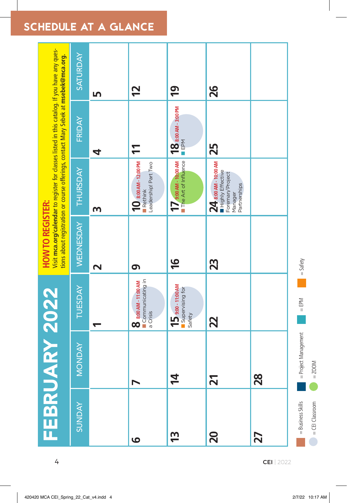# SCHEDULE AT A GLANCE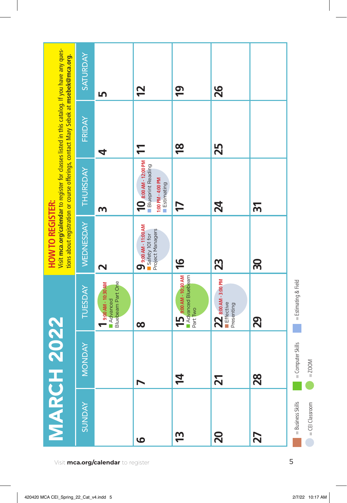| Visit <i>mca.org/calendar</i> to register | <b>MARCH</b><br><b>ZANDAY</b><br>20<br><u>რ</u><br>$\bullet$ | 2022<br><b>MONDAY</b><br>$\overline{\mathbf{z}}$<br>$\mathbf{z}$<br>$\blacktriangleright$ | 15 9:00 AM - 10:30 AM<br>Advanced Bluebeam<br>$22$ 8:00 AM - 3:00 PM<br>Advanced<br>Bluebeam Part One<br>9:00 AM - 10:30 AM<br><b>TUESDAY</b><br>Effective<br>Presenting<br>Part Two<br>$\infty$ | <b>HOW TO REGISTER:</b><br>WEDNESDAY<br>0 9:00 AM - 11:00 AM<br>Project Managers<br>Safety 101 for<br>$\frac{1}{2}$<br>23<br>$\overline{\mathbf{N}}$ | Visit mca.org/calendar to register for classes listed in this catalog. If you have any ques-<br>tions about registration or course offerings, contact Mary Sebek at msebek@mca.org.<br>10 8:00 AM - 12:00 PM<br><b>Blueprint Reading</b><br><b>THURSDAY</b><br>1:00 PM - 4:00 PM<br>Estimating<br>24<br>77<br>m | FRIDAY<br>$\frac{8}{5}$<br>25<br>$\mathbf{\Xi}$<br>4 | <b>SATURDAY</b><br>26<br>2<br><u>6</u><br>LO |
|-------------------------------------------|--------------------------------------------------------------|-------------------------------------------------------------------------------------------|--------------------------------------------------------------------------------------------------------------------------------------------------------------------------------------------------|------------------------------------------------------------------------------------------------------------------------------------------------------|-----------------------------------------------------------------------------------------------------------------------------------------------------------------------------------------------------------------------------------------------------------------------------------------------------------------|------------------------------------------------------|----------------------------------------------|
|                                           | 27                                                           | 28                                                                                        | 29                                                                                                                                                                                               | <u>န</u>                                                                                                                                             | <u>რ</u>                                                                                                                                                                                                                                                                                                        |                                                      |                                              |
| 5                                         | <b>Business Skills</b><br>$=$ CEI Classroom                  | = Computer Skills<br>$= 200M$                                                             | $=$ Estimating & Field                                                                                                                                                                           |                                                                                                                                                      |                                                                                                                                                                                                                                                                                                                 |                                                      |                                              |

 $\overline{\phantom{a}}$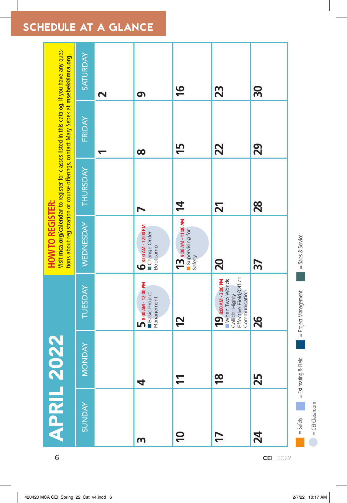### SCHEDULE AT A GLANCE

Visit **mca.org/calendar** to register for classes listed in this catalog. If you have any ques-**6 APRIL 2022** Mediatric methods of the consequence of the consequence of the consequence of the consequence of the consequence of the consequence of the consequence of the consequence of the consequence of the consequen tions about registration or course offerings, contact Mary Sebek at **msebek@mca.org. 14 15 16 24 25 26 37 28 29 30 20 21 22 23 2981HOW TO REGISTER: 7** $\begin{array}{|c|} \hline \textbf{3}_{\text{S00AM-11:00AM}} \\ \textbf{S} & \text{Subervising for} \\ \hline \end{array}$ **10 11 12 13 9:00 AM - 11:00 AM**  $\frac{6}{1000M}$  - 12:00 PM<br> $\frac{1}{1000M}$  - 12:00 PM **6 8:00 AM - 12:00 PM** Supervising for Change Order  $=$  Sales & Service = Sales & Service Bootcamp Effective Field/Office **5** 8:00 AM - 12:00 PM<br>Basic Project<br>Management When Two Worlds When Two Worlds **17 18 19 8:00 AM - 3:00 PM 5 8:00 AM - 12:00 PM** = Project Management Communication = Project Management **Basic Project** Collide: Highly Management  $=$  Estimating & Field = Safety = Estimating & Field **4** $=$  Safety **m** 

= CEI Classroom

 $=$  CEI Classroom

 $\hat{\mathcal{L}}$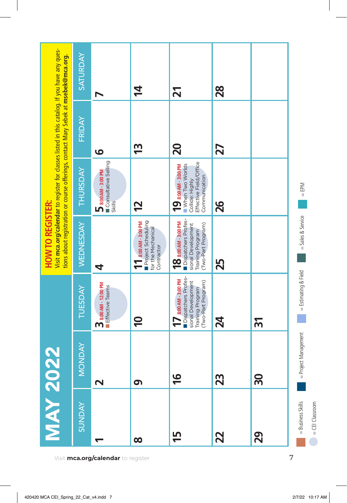|                                           | <b>MAY 2022</b>                             |                      |                                                                                                                      | <b>HOW TO REGISTER:</b>                                                                                     |                                                                                                       | Visit mca.org/calendar to register for classes listed in this catalog. If you have any ques-<br>tions about registration or course offerings, contact Mary Sebek at msebek@mca.org. |           |
|-------------------------------------------|---------------------------------------------|----------------------|----------------------------------------------------------------------------------------------------------------------|-------------------------------------------------------------------------------------------------------------|-------------------------------------------------------------------------------------------------------|-------------------------------------------------------------------------------------------------------------------------------------------------------------------------------------|-----------|
|                                           | <b>ZAQNDS</b>                               | <b>ANDAY</b><br>ž    | <b>TUESDAY</b>                                                                                                       | WEDNESDAY                                                                                                   | THURSDAY                                                                                              | FRIDAY                                                                                                                                                                              | SATURDAY  |
| Visit <i>mca.org/calendar</i> to register | $\overline{\phantom{0}}$                    | $\sim$               | 38:00 AM - 12:00 PM<br>Effective Teams                                                                               | 4                                                                                                           | Consultative Selling<br>$5$ 8:00 AM - 3:00 PM<br>Skills                                               | $\bullet$                                                                                                                                                                           | ↖         |
|                                           | $\infty$                                    | 9                    | $\overline{\mathbf{C}}$                                                                                              | Project Scheduling<br>8:00 AM - 3:00 PM<br>for the Mechanical<br>Contractor                                 | 12                                                                                                    | <u>ლ</u>                                                                                                                                                                            | 4         |
|                                           | <u>Гр</u>                                   | $\overline{9}$       | Dispatchers Profes-<br>8:00 AM - 3:00 PM<br>sional Development<br>(Two-Part Program)<br><b>Training Program</b><br>÷ | Dispatchers Profes-<br>18 8:00 AM - 3:00 PM<br>(Two-Part Program)<br>sional Development<br>Training Program | Effective Field/Office<br>When Two Worlds<br>19 8:00 AM - 3:00 PM<br>Communication<br>Collide: Highly | 20                                                                                                                                                                                  | <b>Z1</b> |
|                                           | $\mathbf{z}$                                | 23                   | 24                                                                                                                   | 25                                                                                                          | 26                                                                                                    | 27                                                                                                                                                                                  | 28        |
|                                           | 29                                          | 50                   | <u>რ</u>                                                                                                             |                                                                                                             |                                                                                                       |                                                                                                                                                                                     |           |
| 7                                         | <b>Business Skills</b><br>$=$ CEI Classroom | = Project Management | = Estimating & Field                                                                                                 | $=$ Sales & Service                                                                                         | $=$ EPM                                                                                               |                                                                                                                                                                                     |           |

 $\overline{\phantom{a}}$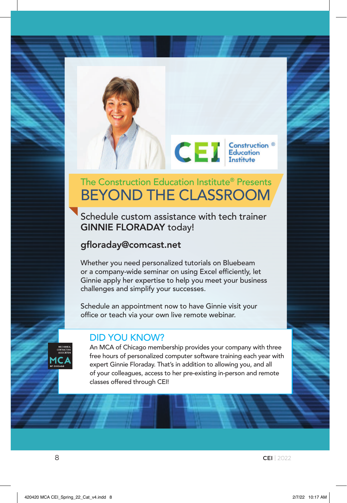### The Construction Education Institute® Presents BEYOND THE CLASSROOM

CE Construction

Schedule custom assistance with tech trainer GINNIE FLORADAY today!

#### gfloraday@comcast.net

Whether you need personalized tutorials on Bluebeam or a company-wide seminar on using Excel efficiently, let Ginnie apply her expertise to help you meet your business challenges and simplify your successes.

Schedule an appointment now to have Ginnie visit your office or teach via your own live remote webinar.

### DID YOU KNOW?

An MCA of Chicago membership provides your company with three free hours of personalized computer software training each year with expert Ginnie Floraday. That's in addition to allowing you, and all of your colleagues, access to her pre-existing in-person and remote classes offered through CEI!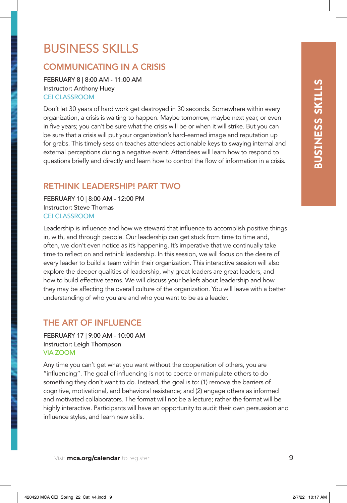## BUSINESS SKILLS

#### COMMUNICATING IN A CRISIS

FEBRUARY 8 | 8:00 AM - 11:00 AM Instructor: Anthony Huey CEI CLASSROOM

Don't let 30 years of hard work get destroyed in 30 seconds. Somewhere within every organization, a crisis is waiting to happen. Maybe tomorrow, maybe next year, or even in five years; you can't be sure what the crisis will be or when it will strike. But you can be sure that a crisis will put your organization's hard-earned image and reputation up for grabs. This timely session teaches attendees actionable keys to swaying internal and external perceptions during a negative event. Attendees will learn how to respond to questions briefly and directly and learn how to control the flow of information in a crisis.

#### RETHINK LEADERSHIP! PART TWO

FEBRUARY 10 | 8:00 AM - 12:00 PM Instructor: Steve Thomas CEI CLASSROOM

Leadership is influence and how we steward that influence to accomplish positive things in, with, and through people. Our leadership can get stuck from time to time and, often, we don't even notice as it's happening. It's imperative that we continually take time to reflect on and rethink leadership. In this session, we will focus on the desire of every leader to build a team within their organization. This interactive session will also explore the deeper qualities of leadership, why great leaders are great leaders, and how to build effective teams. We will discuss your beliefs about leadership and how they may be affecting the overall culture of the organization. You will leave with a better understanding of who you are and who you want to be as a leader.

### THE ART OF INFLUENCE

FEBRUARY 17 | 9:00 AM - 10:00 AM Instructor: Leigh Thompson VIA ZOOM

Any time you can't get what you want without the cooperation of others, you are "influencing". The goal of influencing is not to coerce or manipulate others to do something they don't want to do. Instead, the goal is to: (1) remove the barriers of cognitive, motivational, and behavioral resistance; and (2) engage others as informed and motivated collaborators. The format will not be a lecture; rather the format will be highly interactive. Participants will have an opportunity to audit their own persuasion and influence styles, and learn new skills.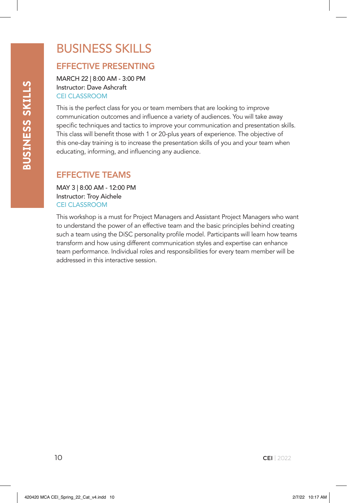# BUSINESS SKILLS

#### EFFECTIVE PRESENTING

MARCH 22 | 8:00 AM - 3:00 PM Instructor: Dave Ashcraft CEI CLASSROOM

This is the perfect class for you or team members that are looking to improve communication outcomes and influence a variety of audiences. You will take away specific techniques and tactics to improve your communication and presentation skills. This class will benefit those with 1 or 20-plus years of experience. The objective of this one-day training is to increase the presentation skills of you and your team when educating, informing, and influencing any audience.

#### EFFECTIVE TEAMS

MAY 3 | 8:00 AM - 12:00 PM Instructor: Troy Aichele CEI CLASSROOM

This workshop is a must for Project Managers and Assistant Project Managers who want to understand the power of an effective team and the basic principles behind creating such a team using the DiSC personality profile model. Participants will learn how teams transform and how using different communication styles and expertise can enhance team performance. Individual roles and responsibilities for every team member will be addressed in this interactive session.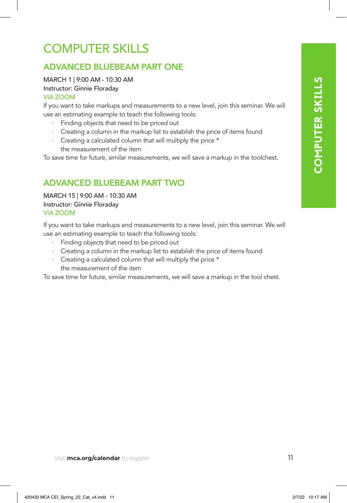### COMPUTER SKILLS

#### ADVANCED BLUEBEAM PART ONE

#### MARCH 1 | 9:00 AM - 10:30 AM

Instructor: Ginnie Floraday

#### VIA ZOOM

If you want to take markups and measurements to a new level, join this seminar. We will use an estimating example to teach the following tools:

- · Finding objects that need to be priced out
- · Creating a column in the markup list to establish the price of items found
- · Creating a calculated column that will multiply the price \* the measurement of the item

To save time for future, similar measurements, we will save a markup in the toolchest.

### ADVANCED BLUEBEAM PART TWO

MARCH 15 | 9:00 AM - 10:30 AM Instructor: Ginnie Floraday VIA ZOOM

If you want to take markups and measurements to a new level, join this seminar. We will use an estimating example to teach the following tools:

- · Finding objects that need to be priced out
- Creating a column in the markup list to establish the price of items found
- $\cdot$  Creating a calculated column that will multiply the price  $*$ the measurement of the item

To save time for future, similar measurements, we will save a markup in the tool chest.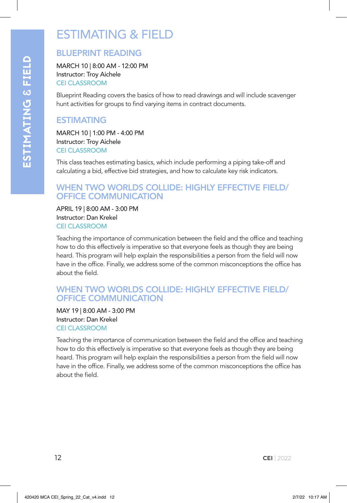# ESTIMATING & FIELD

#### BLUEPRINT READING

MARCH 10 | 8:00 AM - 12:00 PM Instructor: Troy Aichele CEI CLASSROOM

Blueprint Reading covers the basics of how to read drawings and will include scavenger hunt activities for groups to find varying items in contract documents.

#### ESTIMATING

MARCH 10 | 1:00 PM - 4:00 PM Instructor: Troy Aichele CEI CLASSROOM

This class teaches estimating basics, which include performing a piping take-off and calculating a bid, effective bid strategies, and how to calculate key risk indicators.

#### WHEN TWO WORLDS COLLIDE: HIGHLY EFFECTIVE FIELD/ OFFICE COMMUNICATION

APRIL 19 | 8:00 AM - 3:00 PM Instructor: Dan Krekel CEI CLASSROOM

Teaching the importance of communication between the field and the office and teaching how to do this effectively is imperative so that everyone feels as though they are being heard. This program will help explain the responsibilities a person from the field will now have in the office. Finally, we address some of the common misconceptions the office has about the field.

#### WHEN TWO WORLDS COLLIDE: HIGHLY EFFECTIVE FIELD/ OFFICE COMMUNICATION

MAY 19 | 8:00 AM - 3:00 PM Instructor: Dan Krekel CEI CLASSROOM

Teaching the importance of communication between the field and the office and teaching how to do this effectively is imperative so that everyone feels as though they are being heard. This program will help explain the responsibilities a person from the field will now have in the office. Finally, we address some of the common misconceptions the office has about the field.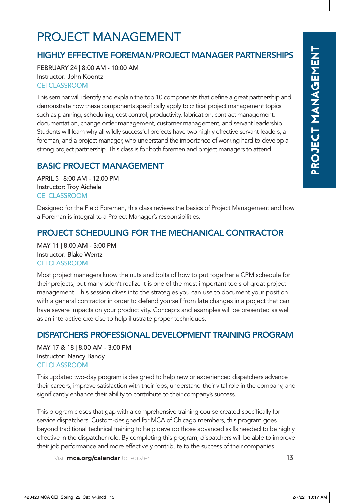# PROJECT MANAGEMENT

### HIGHLY EFFECTIVE FOREMAN/PROJECT MANAGER PARTNERSHIPS

FEBRUARY 24 | 8:00 AM - 10:00 AM Instructor: John Koontz CEI CLASSROOM

This seminar will identify and explain the top 10 components that define a great partnership and demonstrate how these components specifically apply to critical project management topics such as planning, scheduling, cost control, productivity, fabrication, contract management, documentation, change order management, customer management, and servant leadership. Students will learn why all wildly successful projects have two highly effective servant leaders, a foreman, and a project manager, who understand the importance of working hard to develop a strong project partnership. This class is for both foremen and project managers to attend.

### BASIC PROJECT MANAGEMENT

APRIL 5 | 8:00 AM - 12:00 PM Instructor: Troy Aichele CEI CLASSROOM

Designed for the Field Foremen, this class reviews the basics of Project Management and how a Foreman is integral to a Project Manager's responsibilities.

### PROJECT SCHEDULING FOR THE MECHANICAL CONTRACTOR

MAY 11 | 8:00 AM - 3:00 PM Instructor: Blake Wentz CEI CLASSROOM

Most project managers know the nuts and bolts of how to put together a CPM schedule for their projects, but many sdon't realize it is one of the most important tools of great project management. This session dives into the strategies you can use to document your position with a general contractor in order to defend yourself from late changes in a project that can have severe impacts on your productivity. Concepts and examples will be presented as well as an interactive exercise to help illustrate proper techniques.

### DISPATCHERS PROFESSIONAL DEVELOPMENT TRAINING PROGRAM

MAY 17 & 18 | 8:00 AM - 3:00 PM Instructor: Nancy Bandy CEI CLASSROOM

This updated two-day program is designed to help new or experienced dispatchers advance their careers, improve satisfaction with their jobs, understand their vital role in the company, and significantly enhance their ability to contribute to their company's success.

This program closes that gap with a comprehensive training course created specifically for service dispatchers. Custom-designed for MCA of Chicago members, this program goes beyond traditional technical training to help develop those advanced skills needed to be highly effective in the dispatcher role. By completing this program, dispatchers will be able to improve their job performance and more effectively contribute to the success of their companies.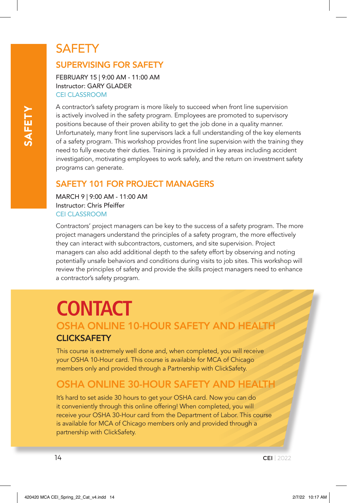### **SAFETY** SUPERVISING FOR SAFETY

FEBRUARY 15 | 9:00 AM - 11:00 AM Instructor: GARY GLADER CEI CLASSROOM

A contractor's safety program is more likely to succeed when front line supervision is actively involved in the safety program. Employees are promoted to supervisory positions because of their proven ability to get the job done in a quality manner. Unfortunately, many front line supervisors lack a full understanding of the key elements of a safety program. This workshop provides front line supervision with the training they need to fully execute their duties. Training is provided in key areas including accident investigation, motivating employees to work safely, and the return on investment safety programs can generate.

#### SAFETY 101 FOR PROJECT MANAGERS

MARCH 9 | 9:00 AM - 11:00 AM Instructor: Chris Pfeiffer CEI CLASSROOM

Contractors' project managers can be key to the success of a safety program. The more project managers understand the principles of a safety program, the more effectively they can interact with subcontractors, customers, and site supervision. Project managers can also add additional depth to the safety effort by observing and noting potentially unsafe behaviors and conditions during visits to job sites. This workshop will review the principles of safety and provide the skills project managers need to enhance a contractor's safety program.

# **CONTACT** OSHA ONLINE 10-HOUR SAFETY AND HEALTH **CLICKSAFETY**

This course is extremely well done and, when completed, you will receive your OSHA 10-Hour card. This course is available for MCA of Chicago members only and provided through a Partnership with ClickSafety.

### OSHA ONLINE 30-HOUR SAFETY AND HEALTH

It's hard to set aside 30 hours to get your OSHA card. Now you can do it conveniently through this online offering! When completed, you will receive your OSHA 30-Hour card from the Department of Labor. This course is available for MCA of Chicago members only and provided through a partnership with ClickSafety.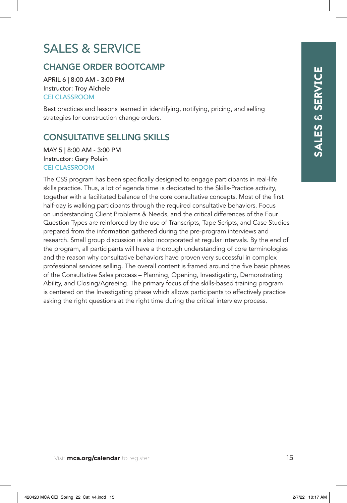# SALES & SERVICE

### CHANGE ORDER BOOTCAMP

APRIL 6 | 8:00 AM - 3:00 PM Instructor: Troy Aichele CEI CLASSROOM

Best practices and lessons learned in identifying, notifying, pricing, and selling strategies for construction change orders.

### CONSULTATIVE SELLING SKILLS

MAY 5 | 8:00 AM - 3:00 PM Instructor: Gary Polain CEI CLASSROOM

The CSS program has been specifically designed to engage participants in real-life skills practice. Thus, a lot of agenda time is dedicated to the Skills-Practice activity, together with a facilitated balance of the core consultative concepts. Most of the first half-day is walking participants through the required consultative behaviors. Focus on understanding Client Problems & Needs, and the critical differences of the Four Question Types are reinforced by the use of Transcripts, Tape Scripts, and Case Studies prepared from the information gathered during the pre-program interviews and research. Small group discussion is also incorporated at regular intervals. By the end of the program, all participants will have a thorough understanding of core terminologies and the reason why consultative behaviors have proven very successful in complex professional services selling. The overall content is framed around the five basic phases of the Consultative Sales process – Planning, Opening, Investigating, Demonstrating Ability, and Closing/Agreeing. The primary focus of the skills-based training program is centered on the Investigating phase which allows participants to effectively practice asking the right questions at the right time during the critical interview process.

**The intervelopment of the intervelopment of the intervelopment of the intervelopment of the intervelopment of the intervelopment of the intervelopment of the intervelopment of the intervelopment of the intervelopment of t**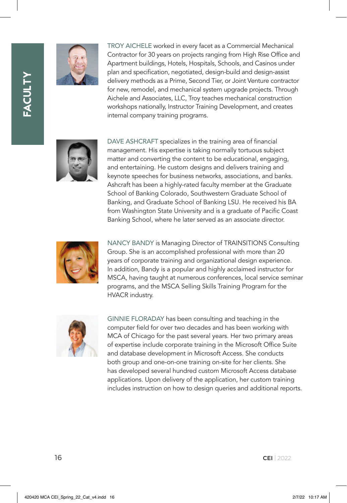# FACULTY FACULTY



TROY AICHELE worked in every facet as a Commercial Mechanical Contractor for 30 years on projects ranging from High Rise Office and Apartment buildings, Hotels, Hospitals, Schools, and Casinos under plan and specification, negotiated, design-build and design-assist delivery methods as a Prime, Second Tier, or Joint Venture contractor for new, remodel, and mechanical system upgrade projects. Through Aichele and Associates, LLC, Troy teaches mechanical construction workshops nationally, Instructor Training Development, and creates internal company training programs.



DAVE ASHCRAFT specializes in the training area of financial management. His expertise is taking normally tortuous subject matter and converting the content to be educational, engaging, and entertaining. He custom designs and delivers training and keynote speeches for business networks, associations, and banks. Ashcraft has been a highly-rated faculty member at the Graduate School of Banking Colorado, Southwestern Graduate School of Banking, and Graduate School of Banking LSU. He received his BA from Washington State University and is a graduate of Pacific Coast Banking School, where he later served as an associate director.



NANCY BANDY is Managing Director of TRAINSITIONS Consulting Group. She is an accomplished professional with more than 20 years of corporate training and organizational design experience. In addition, Bandy is a popular and highly acclaimed instructor for MSCA, having taught at numerous conferences, local service seminar programs, and the MSCA Selling Skills Training Program for the HVACR industry.



GINNIE FLORADAY has been consulting and teaching in the computer field for over two decades and has been working with MCA of Chicago for the past several years. Her two primary areas of expertise include corporate training in the Microsoft Office Suite and database development in Microsoft Access. She conducts both group and one-on-one training on-site for her clients. She has developed several hundred custom Microsoft Access database applications. Upon delivery of the application, her custom training includes instruction on how to design queries and additional reports.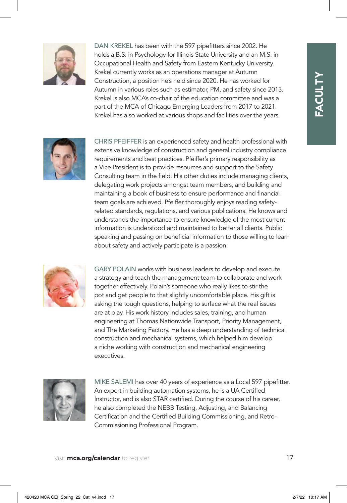

DAN KREKEL has been with the 597 pipefitters since 2002. He holds a B.S. in Psychology for Illinois State University and an M.S. in Occupational Health and Safety from Eastern Kentucky University. Krekel currently works as an operations manager at Autumn Construction, a position he's held since 2020. He has worked for Autumn in various roles such as estimator, PM, and safety since 2013. Krekel is also MCA's co-chair of the education committee and was a part of the MCA of Chicago Emerging Leaders from 2017 to 2021. Krekel has also worked at various shops and facilities over the years.



CHRIS PFEIFFER is an experienced safety and health professional with extensive knowledge of construction and general industry compliance requirements and best practices. Pfeiffer's primary responsibility as a Vice President is to provide resources and support to the Safety Consulting team in the field. His other duties include managing clients, delegating work projects amongst team members, and building and maintaining a book of business to ensure performance and financial team goals are achieved. Pfeiffer thoroughly enjoys reading safetyrelated standards, regulations, and various publications. He knows and understands the importance to ensure knowledge of the most current information is understood and maintained to better all clients. Public speaking and passing on beneficial information to those willing to learn about safety and actively participate is a passion.



GARY POLAIN works with business leaders to develop and execute a strategy and teach the management team to collaborate and work together effectively. Polain's someone who really likes to stir the pot and get people to that slightly uncomfortable place. His gift is asking the tough questions, helping to surface what the real issues are at play. His work history includes sales, training, and human engineering at Thomas Nationwide Transport, Priority Management, and The Marketing Factory. He has a deep understanding of technical construction and mechanical systems, which helped him develop a niche working with construction and mechanical engineering executives.



MIKE SALEMI has over 40 years of experience as a Local 597 pipefitter. An expert in building automation systems, he is a UA Certified Instructor, and is also STAR certified. During the course of his career, he also completed the NEBB Testing, Adjusting, and Balancing Certification and the Certified Building Commissioning, and Retro-Commissioning Professional Program.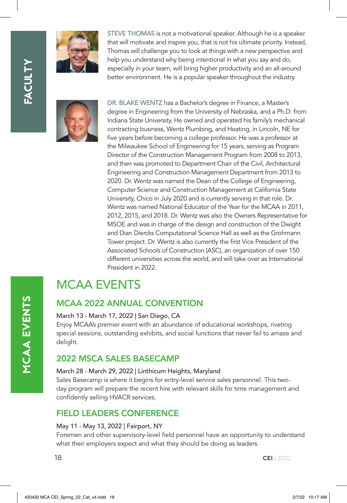# FACULTY **FACULTY**



STEVE THOMAS is not a motivational speaker. Although he is a speaker that will motivate and inspire you, that is not his ultimate priority. Instead, Thomas will challenge you to look at things with a new perspective and help you understand why being intentional in what you say and do, especially in your team, will bring higher productivity and an all-around better environment. He is a popular speaker throughout the industry.



DR. BLAKE WENTZ has a Bachelor's degree in Finance, a Master's degree in Engineering from the University of Nebraska, and a Ph.D. from Indiana State University. He owned and operated his family's mechanical contracting business, Wentz Plumbing, and Heating, in Lincoln, NE for five years before becoming a college professor. He was a professor at the Milwaukee School of Engineering for 15 years, serving as Program Director of the Construction Management Program from 2008 to 2013, and then was promoted to Department Chair of the Civil, Architectural Engineering and Construction Management Department from 2013 to 2020. Dr. Wentz was named the Dean of the College of Engineering, Computer Science and Construction Management at California State University, Chico in July 2020 and is currently serving in that role. Dr. Wentz was named National Educator of the Year for the MCAA in 2011, 2012, 2015, and 2018. Dr. Wentz was also the Owners Representative for MSOE and was in charge of the design and construction of the Dwight and Dian Diercks Computational Science Hall as well as the Grohmann Tower project. Dr. Wentz is also currently the first Vice President of the Associated Schools of Construction (ASC), an organization of over 150 different universities across the world, and will take over as International President in 2022.

### MCAA EVENTS

### MCAA 2022 ANNUAL CONVENTION

#### March 13 - March 17, 2022 | San Diego, CA

Enjoy MCAA's premier event with an abundance of educational workshops, riveting special sessions, outstanding exhibits, and social functions that never fail to amaze and delight.

#### 2022 MSCA SALES BASECAMP

#### March 28 - March 29, 2022 | Linthicum Heights, Maryland

Sales Basecamp is where it begins for entry-level service sales personnel. This twoday program will prepare the recent hire with relevant skills for time management and confidently selling HVACR services.

### FIELD LEADERS CONFERENCE

#### May 11 - May 13, 2022 | Fairport, NY

Foremen and other supervisory-level field personnel have an opportunity to understand what their employers expect and what they should be doing as leaders.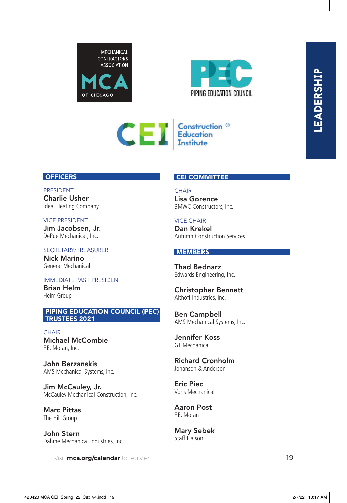





#### **OFFICERS**

PRESIDENT Charlie Usher Ideal Heating Company

VICE PRESIDENT Jim Jacobsen, Jr. DePue Mechanical, Inc.

SECRETARY/TREASURER Nick Marino General Mechanical

#### IMMEDIATE PAST PRESIDENT

Brian Helm Helm Group

#### PIPING EDUCATION COUNCIL (PEC) TRUSTEES 2021

**CHAIR** Michael McCombie F.E. Moran, Inc.

John Berzanskis AMS Mechanical Systems, Inc.

Jim McCauley, Jr. McCauley Mechanical Construction, Inc.

Marc Pittas The Hill Group

John Stern Dahme Mechanical Industries, Inc.

Visit **mca.org/calendar** to register **19** 

#### CEI COMMITTEE

**CHAIR** Lisa Gorence BMWC Constructors, Inc.

VICE CHAIR Dan Krekel Autumn Construction Services

#### **MEMBERS**

Thad Bednarz Edwards Engineering, Inc.

Christopher Bennett Althoff Industries, Inc.

Ben Campbell AMS Mechanical Systems, Inc.

Jennifer Koss GT Mechanical

Richard Cronholm Johanson & Anderson

Eric Piec Voris Mechanical

Aaron Post F.E. Moran

Mary Sebek Staff Liaison